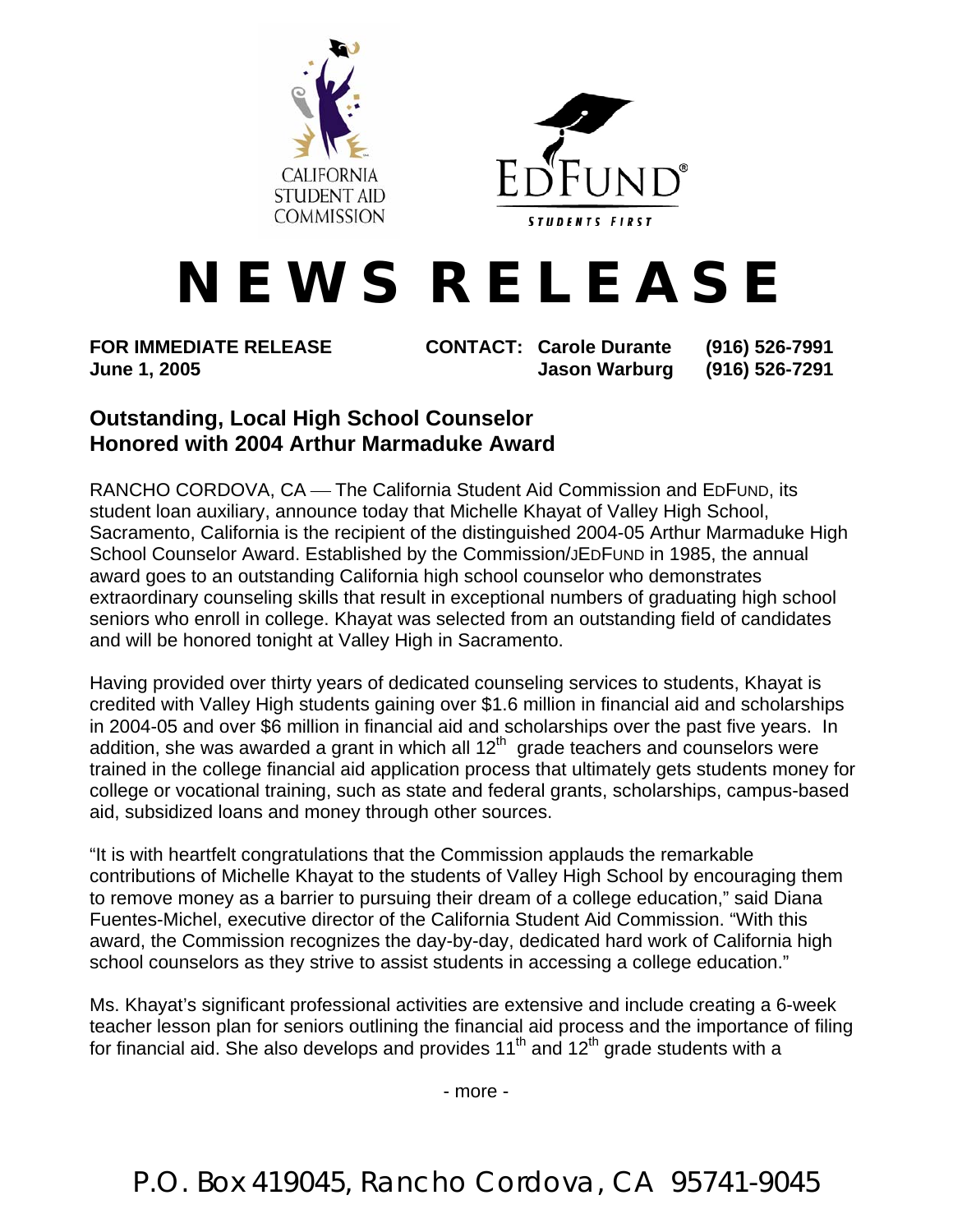



## **N E W S R E L E A S E**

**FOR IMMEDIATE RELEASE CONTACT: Carole Durante (916) 526-7991 June 1, 2005 Jason Warburg (916) 526-7291** 

## **Outstanding, Local High School Counselor Honored with 2004 Arthur Marmaduke Award**

RANCHO CORDOVA, CA — The California Student Aid Commission and EDFUND, its student loan auxiliary, announce today that Michelle Khayat of Valley High School, Sacramento, California is the recipient of the distinguished 2004-05 Arthur Marmaduke High School Counselor Award. Established by the Commission/JEDFUND in 1985, the annual award goes to an outstanding California high school counselor who demonstrates extraordinary counseling skills that result in exceptional numbers of graduating high school seniors who enroll in college. Khayat was selected from an outstanding field of candidates and will be honored tonight at Valley High in Sacramento.

Having provided over thirty years of dedicated counseling services to students, Khayat is credited with Valley High students gaining over \$1.6 million in financial aid and scholarships in 2004-05 and over \$6 million in financial aid and scholarships over the past five years. In addition, she was awarded a grant in which all  $12<sup>th</sup>$  grade teachers and counselors were trained in the college financial aid application process that ultimately gets students money for college or vocational training, such as state and federal grants, scholarships, campus-based aid, subsidized loans and money through other sources.

"It is with heartfelt congratulations that the Commission applauds the remarkable contributions of Michelle Khayat to the students of Valley High School by encouraging them to remove money as a barrier to pursuing their dream of a college education," said Diana Fuentes-Michel, executive director of the California Student Aid Commission. "With this award, the Commission recognizes the day-by-day, dedicated hard work of California high school counselors as they strive to assist students in accessing a college education."

Ms. Khayat's significant professional activities are extensive and include creating a 6-week teacher lesson plan for seniors outlining the financial aid process and the importance of filing for financial aid. She also develops and provides  $11<sup>th</sup>$  and  $12<sup>th</sup>$  grade students with a

- more -

P.O. Box 419045, Rancho Cordova, CA 95741-9045